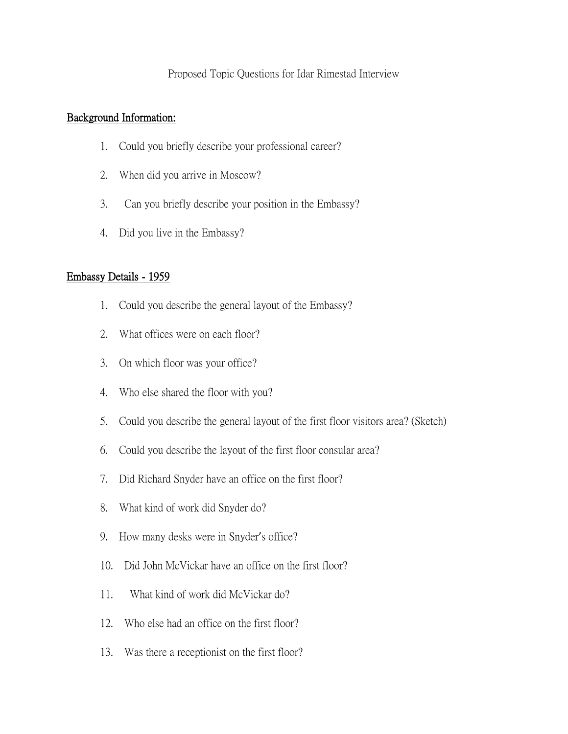## Proposed Topic Questions for Idar Rimestad Interview

## Background Information:

- 1. Could you briefly describe your professional career?
- 2. When did you arrive in Moscow?
- 3. Can you briefly describe your position in the Embassy?
- 4. Did you live in the Embassy?

## Embassy Details - 1959

- 1. Could you describe the general layout of the Embassy?
- 2. What offices were on each floor?
- 3. On which floor was your office?
- 4. Who else shared the floor with you?
- 5. Could you describe the general layout of the first floor visitors area? (Sketch)
- 6. Could you describe the layout of the first floor consular area?
- 7. Did Richard Snyder have an office on the first floor?
- 8. What kind of work did Snyder do?
- 9. How many desks were in Snyder's office?
- 10. Did John McVickar have an office on the first floor?
- 11. What kind of work did McVickar do?
- 12. Who else had an office on the first floor?
- 13. Was there a receptionist on the first floor?